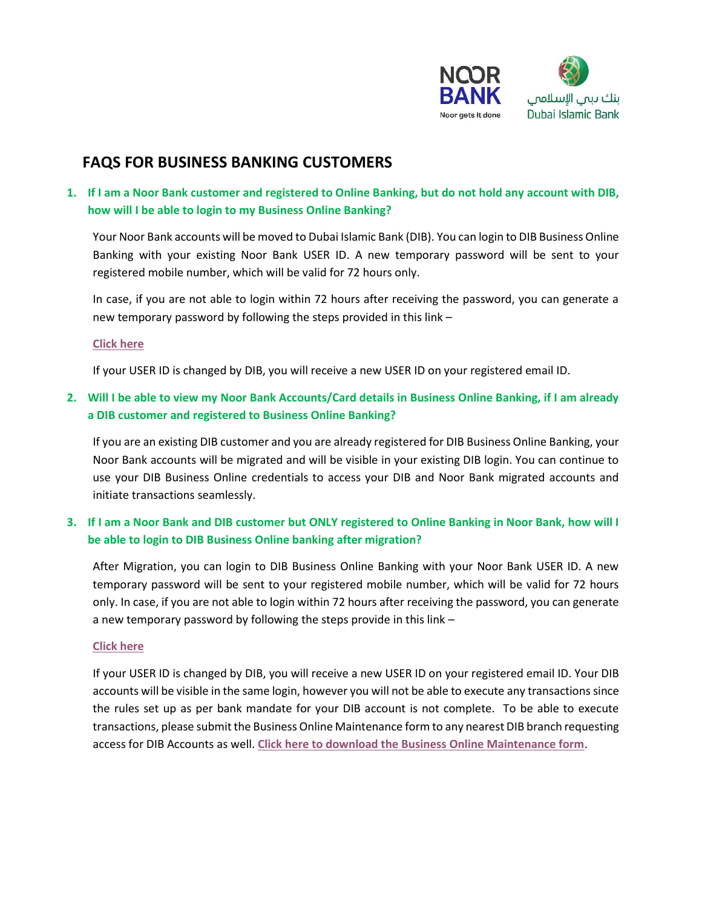

# **FAQS FOR BUSINESS BANKING CUSTOMERS**

**1. If I am a Noor Bank customer and registered to Online Banking, but do not hold any account with DIB, how will I be able to login to my Business Online Banking?**

Your Noor Bank accounts will be moved to Dubai Islamic Bank (DIB). You can login to DIB Business Online Banking with your existing Noor Bank USER ID. A new temporary password will be sent to your registered mobile number, which will be valid for 72 hours only.

In case, if you are not able to login within 72 hours after receiving the password, you can generate a new temporary password by following the steps provided in this link –

### **[Click here](http://www.dib.ae/docs/default-source/pdf/bo-generate-temporary-password-english.pdf)**

If your USER ID is changed by DIB, you will receive a new USER ID on your registered email ID.

## **2. Will I be able to view my Noor Bank Accounts/Card details in Business Online Banking, if I am already a DIB customer and registered to Business Online Banking?**

If you are an existing DIB customer and you are already registered for DIB Business Online Banking, your Noor Bank accounts will be migrated and will be visible in your existing DIB login. You can continue to use your DIB Business Online credentials to access your DIB and Noor Bank migrated accounts and initiate transactions seamlessly.

## **3. If I am a Noor Bank and DIB customer but ONLY registered to Online Banking in Noor Bank, how will I be able to login to DIB Business Online banking after migration?**

After Migration, you can login to DIB Business Online Banking with your Noor Bank USER ID. A new temporary password will be sent to your registered mobile number, which will be valid for 72 hours only. In case, if you are not able to login within 72 hours after receiving the password, you can generate a new temporary password by following the steps provide in this link –

### **[Click here](http://www.dib.ae/docs/default-source/pdf/bo-generate-temporary-password-english.pdf)**

If your USER ID is changed by DIB, you will receive a new USER ID on your registered email ID. Your DIB accounts will be visible in the same login, however you will not be able to execute any transactions since the rules set up as per bank mandate for your DIB account is not complete. To be able to execute transactions, please submit the Business Online Maintenance form to any nearest DIB branch requesting access for DIB Accounts as well. **[Click here to download the Business Online Maintenance form](http://www.dib.ae/docs/default-source/pdf/business-online-maintainance-form.pdf)**.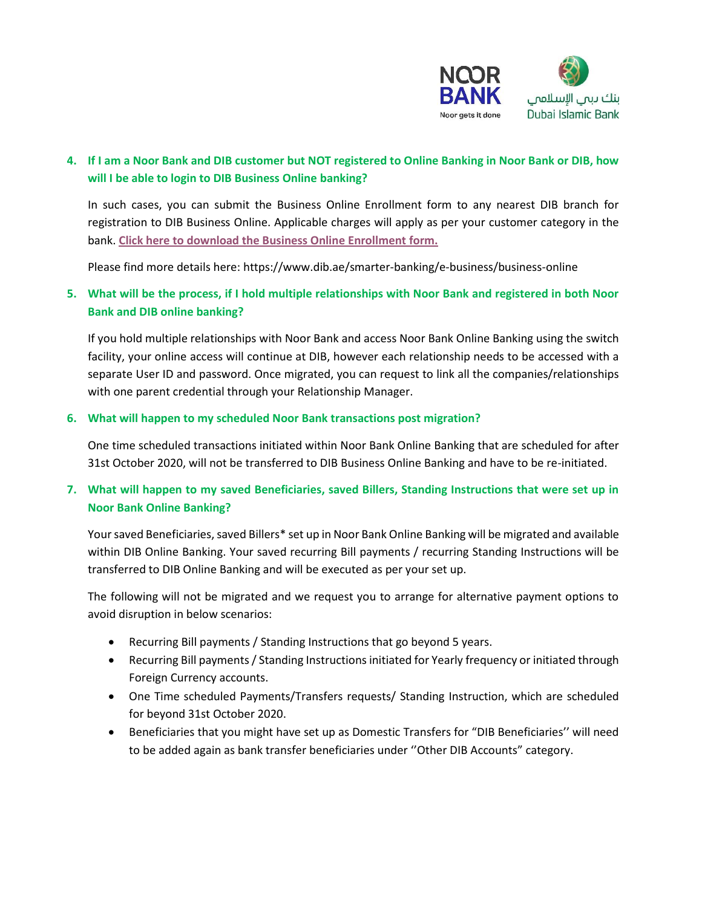

## **4. If I am a Noor Bank and DIB customer but NOT registered to Online Banking in Noor Bank or DIB, how will I be able to login to DIB Business Online banking?**

In such cases, you can submit the Business Online Enrollment form to any nearest DIB branch for registration to DIB Business Online. Applicable charges will apply as per your customer category in the bank. **[Click here to download the Business Online Enrollment](http://www.dib.ae/docs/default-source/pdf/business-online--enrolment-form.pdf) form.**

Please find more details here: <https://www.dib.ae/smarter-banking/e-business/business-online>

## **5. What will be the process, if I hold multiple relationships with Noor Bank and registered in both Noor Bank and DIB online banking?**

If you hold multiple relationships with Noor Bank and access Noor Bank Online Banking using the switch facility, your online access will continue at DIB, however each relationship needs to be accessed with a separate User ID and password. Once migrated, you can request to link all the companies/relationships with one parent credential through your Relationship Manager.

### **6. What will happen to my scheduled Noor Bank transactions post migration?**

One time scheduled transactions initiated within Noor Bank Online Banking that are scheduled for after 31st October 2020, will not be transferred to DIB Business Online Banking and have to be re-initiated.

## **7. What will happen to my saved Beneficiaries, saved Billers, Standing Instructions that were set up in Noor Bank Online Banking?**

Your saved Beneficiaries, saved Billers\* set up in Noor Bank Online Banking will be migrated and available within DIB Online Banking. Your saved recurring Bill payments / recurring Standing Instructions will be transferred to DIB Online Banking and will be executed as per your set up.

The following will not be migrated and we request you to arrange for alternative payment options to avoid disruption in below scenarios:

- Recurring Bill payments / Standing Instructions that go beyond 5 years.
- Recurring Bill payments / Standing Instructions initiated for Yearly frequency or initiated through Foreign Currency accounts.
- One Time scheduled Payments/Transfers requests/ Standing Instruction, which are scheduled for beyond 31st October 2020.
- Beneficiaries that you might have set up as Domestic Transfers for "DIB Beneficiaries'' will need to be added again as bank transfer beneficiaries under ''Other DIB Accounts" category.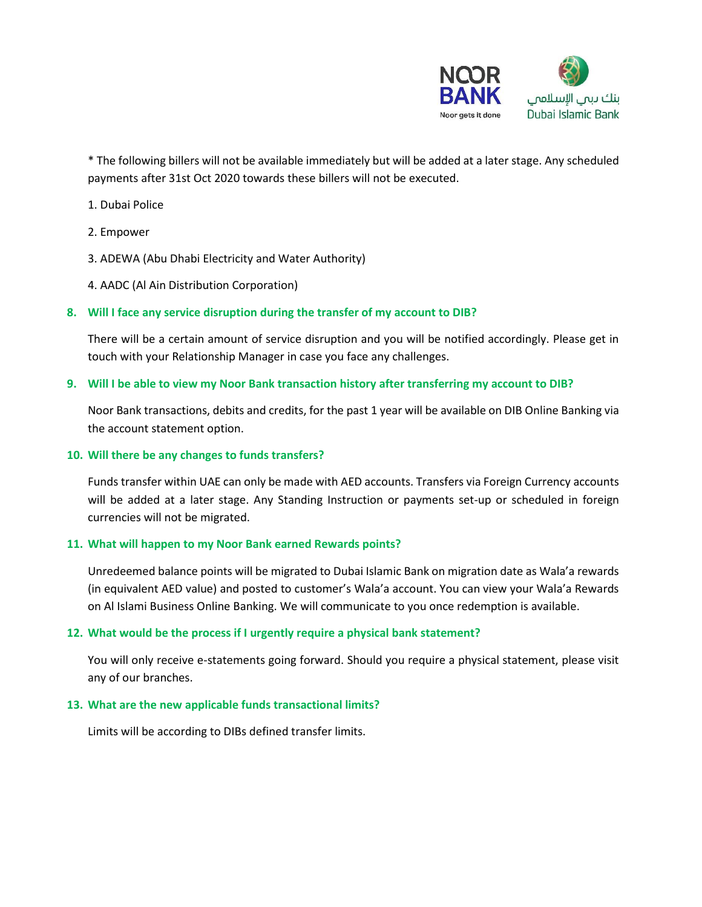

\* The following billers will not be available immediately but will be added at a later stage. Any scheduled payments after 31st Oct 2020 towards these billers will not be executed.

- 1. Dubai Police
- 2. Empower
- 3. ADEWA (Abu Dhabi Electricity and Water Authority)
- 4. AADC (Al Ain Distribution Corporation)

### **8. Will I face any service disruption during the transfer of my account to DIB?**

There will be a certain amount of service disruption and you will be notified accordingly. Please get in touch with your Relationship Manager in case you face any challenges.

#### **9. Will I be able to view my Noor Bank transaction history after transferring my account to DIB?**

Noor Bank transactions, debits and credits, for the past 1 year will be available on DIB Online Banking via the account statement option.

#### **10. Will there be any changes to funds transfers?**

Funds transfer within UAE can only be made with AED accounts. Transfers via Foreign Currency accounts will be added at a later stage. Any Standing Instruction or payments set-up or scheduled in foreign currencies will not be migrated.

#### **11. What will happen to my Noor Bank earned Rewards points?**

Unredeemed balance points will be migrated to Dubai Islamic Bank on migration date as Wala'a rewards (in equivalent AED value) and posted to customer's Wala'a account. You can view your Wala'a Rewards on Al Islami Business Online Banking. We will communicate to you once redemption is available.

#### **12. What would be the process if I urgently require a physical bank statement?**

You will only receive e-statements going forward. Should you require a physical statement, please visit any of our branches.

#### **13. What are the new applicable funds transactional limits?**

Limits will be according to DIBs defined transfer limits.